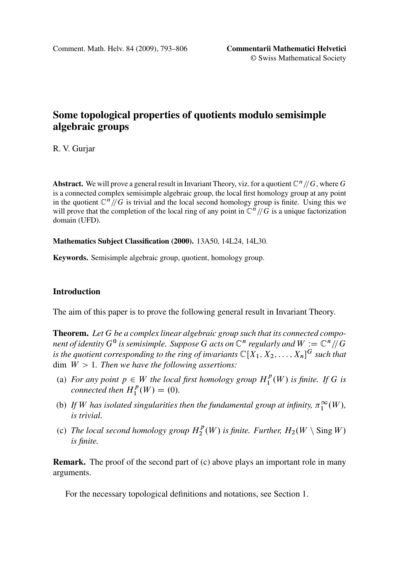# **Some topological properties of quotients modulo semisimple algebraic groups**

R. V. Gurjar

**Abstract.** We will prove a general result in Invariant Theory, viz. for a quotient  $\mathbb{C}^n/\mathbb{G}$ , where G is a connected complex semisimple algebraic group, the local first homology group at any point in the quotient  $\mathbb{C}^n/\!/ G$  is trivial and the local second homology group is finite. Using this we will prove that the completion of the local ring of any point in  $\mathbb{C}^n/\!/G$  is a unique factorization domain (UFD).

**Mathematics Subject Classification (2000).** 13A50, 14L24, 14L30.

**Keywords.** Semisimple algebraic group, quotient, homology group.

## **Introduction**

The aim of this paper is to prove the following general result in Invariant Theory.

**Theorem.** *Let* G *be a complex linear algebraic group such that its connected component of identity*  $G^0$  *is semisimple. Suppose* G *acts on*  $\mathbb{C}^n$  *regularly and*  $W:=\mathbb{C}^n/\!/G$ is the quotient corresponding to the ring of invariants  $\mathbb{C}[X_1, X_2, \ldots, X_n]^G$  such that dim W >1*. Then we have the following assertions:*

- (a) *For any point*  $p \in W$  *the local first homology group*  $H_1^p(W)$  *is finite. If* G *is connected then*  $H^p(W) = (0)$ *connected then*  $H_1^p(W) = (0)$ *.*
- (b) If W has isolated singularities then the fundamental group at infinity,  $\pi_1^{\infty}(W)$ , *is trivial.*
- (c) *The local second homology group*  $H_2^p(W)$  *is finite. Further,*  $H_2(W \setminus Sing W)$  *is finite. is finite.*

**Remark.** The proof of the second part of (c) above plays an important role in many arguments.

For the necessary topological definitions and notations, see Section 1.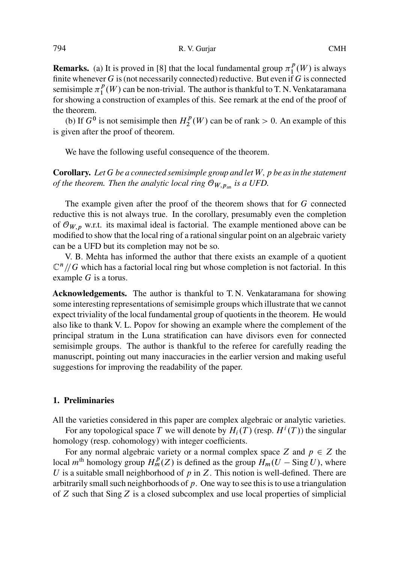**Remarks.** (a) It is proved in [8] that the local fundamental group  $\pi_1^p(W)$  is always finite whenever  $G$  is (not necessarily connected) reductive. But even if  $G$  is connected semisimple  $\pi_1^p(W)$  can be non-trivial. The author is thankful to T. N. Venkataramana for showing a construction of examples of this. See remark at the end of the proof of the theorem.

(b) If  $G^0$  is not semisimple then  $H_2^p(W)$  can be of rank  $> 0$ . An example of this is given after the proof of theorem.

We have the following useful consequence of the theorem.

**Corollary.** *Let* G *be a connected semisimple group and let* W;p *be as in the statement of the theorem. Then the analytic local ring*  $\mathcal{O}_{W,p_{an}}$  *is a UFD.* 

The example given after the proof of the theorem shows that for G connected reductive this is not always true. In the corollary, presumably even the completion of  $\mathcal{O}_{W,p}$  w.r.t. its maximal ideal is factorial. The example mentioned above can be modified to show that the local ring of a rational singular point on an algebraic variety can be a UFD but its completion may not be so.

V. B. Mehta has informed the author that there exists an example of a quotient  $\mathbb{C}^n$  // G which has a factorial local ring but whose completion is not factorial. In this example G is a torus.

**Acknowledgements.** The author is thankful to T. N. Venkataramana for showing some interesting representations of semisimple groups which illustrate that we cannot expect triviality of the local fundamental group of quotients in the theorem. He would also like to thank V. L. Popov for showing an example where the complement of the principal stratum in the Luna stratification can have divisors even for connected semisimple groups. The author is thankful to the referee for carefully reading the manuscript, pointing out many inaccuracies in the earlier version and making useful suggestions for improving the readability of the paper.

### **1. Preliminaries**

All the varieties considered in this paper are complex algebraic or analytic varieties.

For any topological space T we will denote by  $H_i(T)$  (resp.  $H^i(T)$ ) the singular homology (resp. cohomology) with integer coefficients.

For any normal algebraic variety or a normal complex space Z and  $p \in Z$  the local  $m^{\text{th}}$  homology group  $H_m^p(Z)$  is defined as the group  $H_m(U - \text{Sing } U)$ , where U is a suitable small neighborhood of  $p$  in Z. This notion is well-defined. There are arbitrarily small such neighborhoods of  $p$ . One way to see this is to use a triangulation of Z such that Sing Z is a closed subcomplex and use local properties of simplicial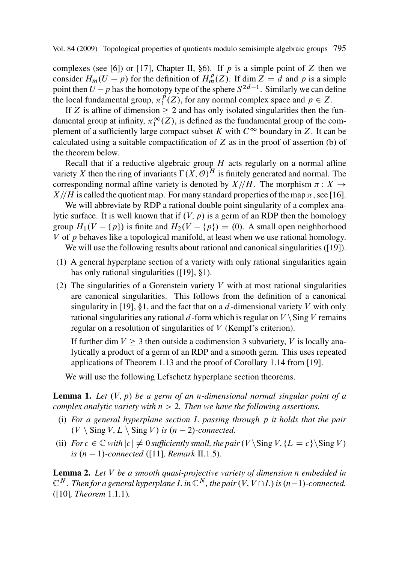complexes (see [6]) or [17], Chapter II, §6). If p is a simple point of Z then we consider  $H_m(U - p)$  for the definition of  $H_m^p(Z)$ . If dim  $Z = d$  and p is a simple<br>point then  $U - p$  has the homotopy type of the sphere  $S^{2d-1}$ . Similarly we can define consider  $H_m(U - p)$  for the definition of  $H_m^p(Z)$ . If dim  $Z = d$  and p is a simple point then  $U - p$  has the homotopy type of the sphere  $S^{2d-1}$ . Similarly we can define the local fundamental group  $\pi^p(Z)$  for any pormal complex space and  $p \in Z$ the local fundamental group,  $\pi_1^p(Z)$ , for any normal complex space and  $p \in Z$ [.](#page-13-0)<br>If Z is affine of dimension  $\geq 2$  and has only isolated singularities then the

If Z is affine of dimension  $\geq 2$  and has only isolated singularities then the fundamental group at infinity,  $\pi_1^{\infty}(Z)$ , is defined as the fundamental group of the complement of a sufficiently large compact subset K with  $C^{\infty}$  boundary in Z. It can be calculated using a suitable compactification of  $Z$  as in the proof of assertion (b) of the theorem below.

Recall that if a reductive algebraic group  $H$  acts regularly on a normal affine variety X then the ring of invariants  $\Gamma(X, \mathcal{O})^H$  is finitely generated and normal. The corresponding normal affine variety [is](#page-13-0) [d](#page-13-0)enoted by  $X/\sqrt{H}$ . The morphism  $\pi: X \rightarrow$  $X/\sqrt{H}$  is called the quotient map. For many standard properties of the map  $\pi$ , see [16].

We will abbreviate by RDP a rational double point singularity of a complex analytic surface. It is [well](#page-13-0) known that if  $(V, p)$  is a germ of an RDP then the homology group  $H_1(V - \{p\})$  is finite and  $H_2(V - \{p\}) = (0)$ . A small open neighborhood  $V$  of *n* behaves like a topological manifold at least when we use rational homology V of p behaves like a topological manifold, at least when we use rational homology.

We will use the following results about rational and canonical singularities ([19]).

- (1) A general hyperplane section of a variety with only rational singula[ritie](#page-13-0)s again has only rational singularities ([19], §1).
- (2) The singularities of a Gorenstein variety  $V$  with at most rational singularities are canonical singularities. This follows from the definition of a canonical singularity in [19], §1, and the fact that on a  $d$ -dimensional variety V with only rational singularities any rational d-form which is regular on  $V \setminus Sing V$  remains regular on a resolution of singularities of V (Kempf's criterion).

If further dim  $V \geq 3$  then outside a codimension 3 subvariety, V is locally analytically a product of a germ of an RDP and a smooth germ. This uses repeated applications of Theore[m 1](#page-13-0).13 and the proof of Corollary 1.14 from [19].

We will use the following Lefschetz hyperplane section theorems.

**Lemma 1.** Let  $(V, p)$  be a germ of an *n*-dimensional normal singular point of a *c[omp](#page-13-0)lex analytic variety with*  $n > 2$ *. Then we have the following assertions.* 

- (i) *For a general hyperplane section* L *passing through* p *it holds that the pair*  $(V \setminus$  Sing  $V$ ,  $L \setminus$  Sing  $V$ ) is  $(n-2)$ -connected.
- (ii) *For*  $c \in \mathbb{C}$  *with*  $|c| \neq 0$  *sufficiently small, the pair*  $(V \cdot \text{Sing } V, \{L = c\} \cdot \text{Sing } V)$  $i s$   $(n - 1)$ -connected ([11]*, Remark II.1.5)*.

**Lemma 2.** *Let* V *be a smooth quasi-projective variety of dimension* n *embedded in*  $\mathbb{C}^N$ . Then for a general hyperplane L in  $\mathbb{C}^N$ , the pair  $(V, V \cap L)$  is  $(n-1)$ -connected.<br>(110) Theorem 1 1 1) ([10]*, Theorem* 1.1.1)*.*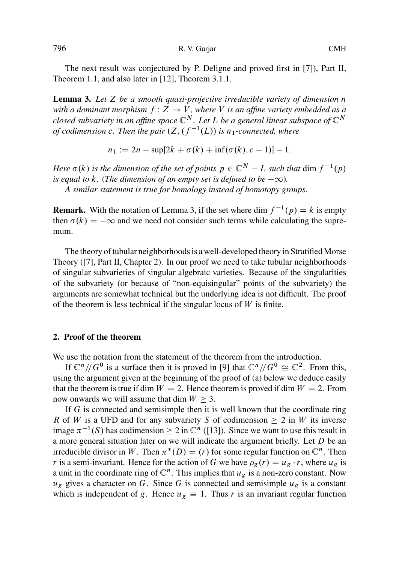The next result was conjectured by P. Deligne and proved first in [7]), Part II, Theorem 1.1, and also later in [12], Theorem 3.1.1.

**Lemma 3.** *Let* Z *be a smooth quasi-projective irreducible variety of dimension* n *with a dominant morphism*  $f: Z \rightarrow V$ *, where* V *is an affine variety embedded as a closed subvariety in an affine space*  $\mathbb{C}^N$ . Let L be a general linear subspace of  $\mathbb{C}^N$ *of codimension c. Then the pair*  $(Z, (f^{-1}(L))$  *is*  $n_1$ -connected, where

> $n_1 := 2n - \sup[2k + \sigma(k) + \inf(\sigma(k), c - 1)] - 1.$ -

*Here*  $\sigma(k)$  is the dimension of the set of points  $p \in \mathbb{C}^N - L$  such that dim  $f^{-1}(p)$  is equal to k. (The dimension of an empty set is defined to be  $-\infty$ ) *is equal to* k. (The dimension of an empty set is defined to be  $-\infty$ ).<br>A similar statement is true for homology instead of homotony as

*A similar statement is true for homology instead of homotopy groups.*

**Remark.** With the notation of Lemma 3, if the set where dim  $f^{-1}(p) = k$  is empty then  $g(k) = -\infty$  and we need not consider such terms while calculating the surrethen  $\sigma(k) = -\infty$  and we need not consider such terms while calculating the supre-<br>mum mum.

The theory of tubular neighborhoods is a well-developed theory in Stratified Morse Theory ([7], Part II, Chapter 2). In our proof we need to take tubular neighborhoods of singular subvarieties of singular algebraic va[rie](#page-13-0)ties. Because of the singularities of the subvariety (or because of "non-equisingular" points of the subvariety) the arguments are somewhat technical but the underlying idea is not difficult. The proof of the theorem is less technical if the singular locus of  $W$  is finite.

#### **2. Proof of the theorem**

We use the notation from the statement of the theorem from the introduction.

If  $\mathbb{C}^n/\!/G^0$  is a surface then it is proved in [9] that  $\mathbb{C}^n/\!/G^0 \cong \mathbb{C}^2$ . From this, using the argument given at the beginning of the proof of (a) below we deduce easily that the theorem is true if dim  $W = 2$ . Hence theorem is proved if dim  $W = 2$ . From now onwards we will assume that dim  $W > 3$ .

If G is connected and semisimple then it is well known that the coordinate ring R of W is a UFD and for any subvariety S of codimension  $\geq 2$  in W its inverse image  $\pi^{-1}(S)$  has codimension  $\geq 2$  in  $\mathbb{C}^n$  ([13]). Since we want to use this result in a more general situation later on we will indicate the argument briefly. Let D be an a more general situation later on we will indicate the argument briefly. Let  $D$  be an irreducible divisor in W. Then  $\pi^*(D) = (r)$  for some regular function on  $\mathbb{C}^n$ . Then r is a semi-invariant. Hence for the action of G we have  $\rho_g(r) = u_g \cdot r$ , where  $u_g$  is a unit in the coordinate ring of  $\mathbb{C}^n$ . This implies that  $u_g$  is a non-zero constant. Now  $u_g$  gives a character on G. Since G is connected and semisimple  $u_g$  is a constant which is independent of g. Hence  $u_g \equiv 1$ . Thus r is an invariant regular function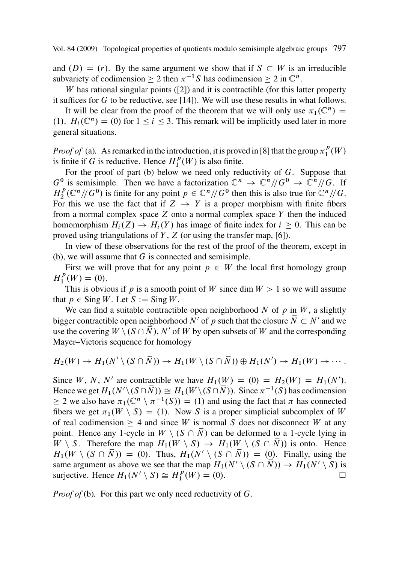and  $(D) = (r)$ . By the same argument we show that if  $S \subset W$  is an irreducible subvariety of codimension  $\geq 2$  then  $\pi^{-1}S$  has codimension  $\geq 2$  in  $\mathbb{C}^n$ .<br>We has rational singular points ([21) and it is contractible (for this la

 $W$  has rational singular points ([2]) and it is contractible (for this latter property it suffices for G to be reductive, see  $[14]$ ). We will use these results in what follows.

It will be clear from the proof of the theorem that we will only use  $\pi_1(\mathbb{C}^n)$  = (1),  $H_i(\mathbb{C}^n) = (0)$  for  $1 \le i \le 3$ . This remark will be implicitly used later in more general situations.

*Proof of* (a). As remarked in the introduction, it is proved in [8] t[hat](#page-13-0) the group  $\pi_1^p(W)$ is finite if G is reductive. Hence  $H_1^p(W)$  is also finite.

For the proof of part (b) below we need only reductivity of  $G$ . Suppose that  $G^0$  is semisimple. Then we have a factorization  $\mathbb{C}^n \to \mathbb{C}^n/\!/ G^0 \to \mathbb{C}^n/\!/ G$ . If  $H_2^p(\mathbb{C}^n/\!/ G^0)$  is finite for any point  $p \in \mathbb{C}^n/\!/ G^0$  then this is also true for  $\mathbb{C}^n/\!/ G$ .<br>For this we use the f For this we use the fact that if  $Z \rightarrow Y$  is a proper morphism with finite fibers from a normal complex space  $Z$  onto a normal complex space  $Y$  then the induced homomorphism  $H_i(Z) \to H_i(Y)$  has image of finite index for  $i \geq 0$ . This can be proved using triangulations of  $Y$ ,  $Z$  (or using the transfer map, [6]).

In view of these observations for the rest of the proof of the theorem, except in (b), we will assume that  $G$  is connected and semisimple.

First we will prove that for any point  $p \in W$  the local first homology group  $H_1^p(W) = (0).$ <br>This is obvion-

This is obvious if p is a smooth point of W since dim  $W > 1$  so we will assume that  $p \in Sing W$ . Let  $S := Sing W$ .

We can find a suitable contractible open neighborhood N of p in  $W$ , a slightly bigger contractible open neighborhood N' of p such that the closure  $\overline{N} \subset N'$  and we use the covering  $W \setminus (S \cap \overline{N})$ , N' of W by open subsets of W and the corresponding Mayer–Vietoris sequence for homology

$$
H_2(W) \to H_1(N' \setminus (S \cap \overline{N})) \to H_1(W \setminus (S \cap \overline{N})) \oplus H_1(N') \to H_1(W) \to \cdots
$$

Since W, N, N' are contractible we have  $H_1(W) = (0) = H_2(W) = H_1(N')$ .<br>Hence we get  $H_1(N' \setminus (S \cap \overline{N})) \approx H_1(W \setminus (S \cap \overline{N}))$ . Since  $\pi^{-1}(S)$  has codimension Hence we get  $H_1(N' \setminus (S \cap \overline{N})) \cong H_1(W \setminus (S \cap \overline{N}))$ . Since  $\pi^{-1}(S)$  has codimension  $> 2$  we also have  $\pi \cdot (\mathbb{C}^n \setminus \pi^{-1}(S)) = (1)$  and using the fact that  $\pi$  has connected  $\geq 2$  we also have  $\pi_1(\mathbb{C}^n \setminus \pi^{-1}(S)) = (1)$  and using the fact that  $\pi$  has connected fibers we get  $\pi_1(W \setminus S) = (1)$ . Now S is a proper simplicial subcomplex of W fibers we get  $\pi_1(W \setminus S) = (1)$ . Now S is a proper simplicial subcomplex of W of real codimension  $\geq$  4 and since W is normal S does not disconnect W at any point. Hence any 1-cycle in  $W \setminus (S \cap \overline{N})$  can be deformed to a 1-cycle lying in  $W \setminus S$ . Therefore the map  $H_1(W \setminus S) \to H_1(W \setminus (S \cap \overline{N}))$  is onto. Hence  $H_1(W \setminus (S \cap \overline{N})) = (0)$ . Thus,  $H_1(N' \setminus (S \cap \overline{N})) = (0)$ . Finally, using the same argument as above we see that the map  $H_1(N' \setminus (S \cap \overline{N})) \to H_1(N' \setminus S)$  is suriective. Hence  $H_1(N' \setminus S) \cong H_1^p(W) = (0)$ . surjective. Hence  $H_1(N' \setminus S) \cong H_1^p(W) = (0)$ .

*Proof of* (b). For this part we only need reductivity of G.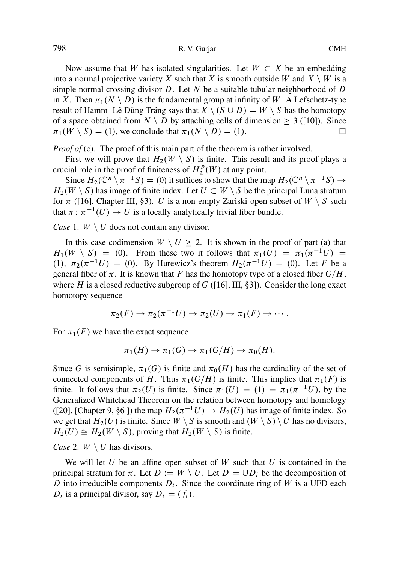Now assume that W has isolated singularities. Let  $W \subset X$  be an embedding into a normal projective variety X such that X is smooth outside W and  $X \setminus W$  is a simple normal crossing divisor  $D$ . Let N be a suitable tubular neighborhood of  $D$ in X. Then  $\pi_1(N \setminus D)$  is the fundamental group at infinity of W. A Lefschetz-type result o[f H](#page-13-0)amm- Lê Dũng Tráng says that  $X \setminus (S \cup D) = W \setminus S$  has the homotopy of a space obtained from  $N \setminus D$  by attaching cells of dimension  $\geq 3$  ([10]). Since  $\pi_1(W \setminus S) = (1)$ , we conclude that  $\pi_1(N \setminus D) = (1)$ .  $\pi_1(W \setminus S) = (1)$ , we conclude that  $\pi_1(N \setminus D) = (1)$ .

*Proof of* (c). The proof of this main part of the theorem is rather involved.

First we will prove that  $H_2(W \setminus S)$  is finite. This result and its proof plays a crucial role in the proof of finiteness of  $H_2^p(W)$  at any point.

Since  $H_2(\mathbb{C}^n \setminus \pi^{-1}S) = (0)$  it suffices to show that the map  $H_2(\mathbb{C}^n \setminus \pi^{-1}S) \to$ <br>(W \ S) has image of finite index Let  $U \subset W$  \ S be the principal Luna stratum  $H_2(W \setminus S)$  $H_2(W \setminus S)$  $H_2(W \setminus S)$  has image of finite index. Let  $U \subset W \setminus S$  be the principal Luna stratum for  $\pi$  ([16], Chapter III, §3). U is a non-empty Zariski-open subset of  $W \setminus S$  such that  $\pi : \pi^{-1}(U) \to U$  is a locally analytically trivial fiber bundle.

*Case* 1.  $W \setminus U$  does not contain any divisor.

In this case codimension  $W \setminus U \ge 2$ . It is shown in the proof of part (a) that  $H_1(W \setminus S) = (0)$ . From these two it follows that  $\pi_1(U) = \pi_1(\pi^{-1}U) =$ <br>(1)  $\pi_2(\pi^{-1}U) = (0)$ . By Hurewicz's theorem  $H_2(\pi^{-1}U) = (0)$ . Let *K* be a (1),  $\pi_2(\pi^{-1}U) = (0)$ . By Hurewicz's theorem  $H_2(\pi^{-1}U) = (0)$ . Let F be a general fiber of  $\pi$ . It is known that F has the homotopy type of a closed fiber  $G/H$ general fiber of  $\pi$ . It is known that F has the homotopy type of a closed fiber  $G/H$ , where H is a closed reductive subgroup of  $G$  ([16], III, §3]). Consider the long exact homotopy sequence

$$
\pi_2(F) \to \pi_2(\pi^{-1}U) \to \pi_2(U) \to \pi_1(F) \to \cdots.
$$

For  $\pi_1(F)$  we have the exact sequence

$$
\pi_1(H) \to \pi_1(G) \to \pi_1(G/H) \to \pi_0(H).
$$

Since G is semisimple,  $\pi_1(G)$  is finite and  $\pi_0(H)$  has the cardinality of the set of connected components of H. Thus  $\pi_1(G/H)$  is finite. This implies that  $\pi_1(F)$  is finite. It follows that  $\pi_2(U)$  is finite. Since  $\pi_1(U) = (1) = \pi_1(\pi^{-1}U)$ , by the Generalized Whitehead Theorem on the relation between bomotony and homology Generalized Whitehead Theorem on the relation between homotopy and homology ([20], [Chapter 9, §6 ]) the map  $H_2(\pi^{-1}U) \to H_2(U)$  has image of finite index. So we get that  $H_2(U)$  is finite. Since  $W \setminus S$  is smooth and  $(W \setminus S) \setminus U$  has no divisors we get that  $H_2(U)$  is finite. Since  $W \setminus S$  is smooth and  $(W \setminus S) \setminus U$  has no divisors,  $H_2(U) \cong H_2(W \setminus S)$ , proving that  $H_2(W \setminus S)$  is finite.

*Case* 2.  $W \setminus U$  has divisors.

We will let  $U$  be an affine open subset of  $W$  such that  $U$  is contained in the principal stratum for  $\pi$ . Let  $D := W \setminus U$ . Let  $D = \cup D_i$  be the decomposition of D into irreducible components  $D_i$ . Since the coordinate ring of W is a UFD each  $D_i$  is a principal divisor, say  $D_i = (f_i)$ .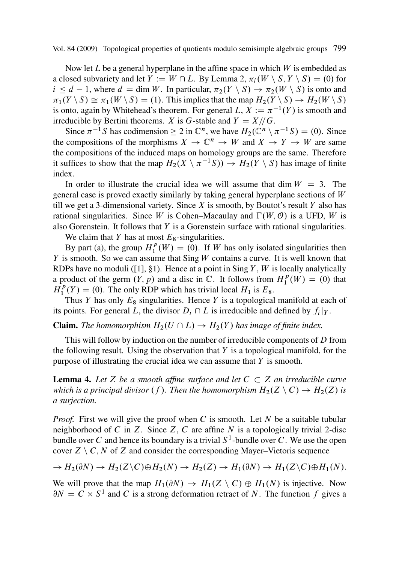Now let L be a general hyperplane in the affine space in which  $W$  is embedded as a closed subvariety and let  $Y := W \cap L$ . By Lemma 2,  $\pi_i(W \setminus S, Y \setminus S) = (0)$  for  $i \le d - 1$ , where  $d = \dim W$ . In particular,  $\pi_2(Y \setminus S) \to \pi_2(W \setminus S)$  is onto and  $\pi_2(V \setminus S) \sim \pi_2(W \setminus S) - (1)$ . This implies that the map  $H_2(V \setminus S) \to H_2(W \setminus S)$  $\pi_1(Y \setminus S) \cong \pi_1(W \setminus S) = (1)$ . This implies that the map  $H_2(Y \setminus S) \to H_2(W \setminus S)$ is onto, again by Whitehead's theorem. For general  $L, X := \pi^{-1}(Y)$  is smooth and irreducible by Bertini theorems.  $Y$  is  $G$ -stable and  $Y = Y/\sqrt{G}$ irreducible by Bertini theorems. X is G-stable and  $Y=X/\sqrt{G}$ .

Since  $\pi^{-1}S$  has codimension  $\geq 2$  in  $\mathbb{C}^n$ , we have  $H_2(\mathbb{C}^n \setminus \pi^{-1}S) = (0)$ . Since compositions of the morphisms  $Y \to \mathbb{C}^n \to W$  and  $Y \to Y \to W$  are same the compositions of the morphisms  $X \to \mathbb{C}^n \to W$  and  $X \to Y \to W$  are same the compositions of the induced maps on homology groups are the same. Therefore it suffices to show that the map  $H_2(X \setminus \pi^{-1}S) \to H_2(Y \setminus S)$  has image of finite index index.

In ord[e](#page-12-0)r [t](#page-12-0)o illustrate the crucial idea we will assume that dim  $W = 3$ . The general case is proved exactly similarly by taking general hyperplane sections of W till we get a 3-dimensional variety. Since  $X$  is smooth, by Boutot's result  $Y$  also has rational singularities. Since W is Cohen–Macaulay and  $\Gamma(W, \mathcal{O})$  is a UFD, W is also Gorenstein. It follows that  $Y$  is a Gorenstein surface with rational singularities.

We claim that Y has at most  $E_8$ -singularities.

By part (a), the group  $H_1^p(W) = (0)$ . If W has only isolated singularities then seemech. So we can assume that Sing W contains a curve. It is well known that  $Y$  is smooth. So we can assume that  $\text{Sing }W$  contains a curve. It is well known that RDPs have no moduli ([1], §1). Hence at a point in Sing Y, W is locally analytically a product of the germ  $(Y, p)$  and a disc in  $\mathbb{C}$ . It follows from  $H_1^p(W) = (0)$  that  $H^p(Y) = (0)$ . The only RDP which has trivial local  $H_1$  is  $F_2$ .  $H_1^p(Y) = (0)$ . The only RDP which has trivial local  $H_1$  is  $E_8$ .<br>Thus Y has only  $F_8$  singularities. Hence Y is a topological

Thus Y has only  $E_8$  singularities. Hence Y is a topological manifold at each of its points. For general L, the divisor  $D_i \cap L$  is irreducible and defined by  $f_i|_Y$ .

# **Claim.** *The homomorphism*  $H_2(U \cap L) \to H_2(Y)$  *has image of finite index.*

This will follow by induction on the number of irreducible components of D from the following result. Using the observation that  $Y$  is a topological manifold, for the purpose of illustrating the crucial idea we can assume that  $Y$  is smooth.

**Lemma 4.** Let Z be a smooth affine surface and let  $C \subset Z$  an irreducible curve *which is a principal divisor* (*f*). Then the homomorphism  $H_2(Z \setminus C) \rightarrow H_2(Z)$  is *a surjection.*

*Proof.* First we will give the proof when  $C$  is smooth. Let  $N$  be a suitable tubular neighborhood of C in Z. Since  $Z$ , C are affine N is a topologically trivial 2-disc bundle over C and hence its boundary is a trivial  $S<sup>1</sup>$ -bundle over C. We use the open cover  $Z \setminus C$ , N of Z and consider the corresponding Mayer–Vietoris sequence

$$
\rightarrow H_2(\partial N) \rightarrow H_2(Z \setminus C) \oplus H_2(N) \rightarrow H_2(Z) \rightarrow H_1(\partial N) \rightarrow H_1(Z \setminus C) \oplus H_1(N).
$$

We will prove that the map  $H_1(\partial N) \to H_1(Z \setminus C) \oplus H_1(N)$  is injective. Now  $\partial N = C \times S^1$  and C is a strong deformation retract of N. The function f gives a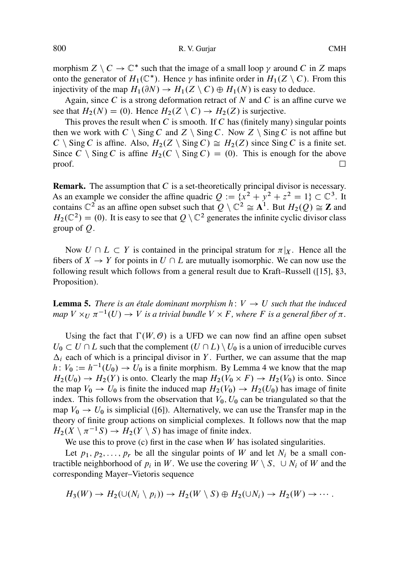morphism  $Z \setminus C \to \mathbb{C}^*$  such that the image of a small loop  $\gamma$  around C in Z maps onto the generator of  $H_1(\mathbb{C}^*)$ . Hence  $\gamma$  has infinite order in  $H_1(Z \setminus C)$ . From this injectivity of the map  $H_1(\partial N) \to H_1(Z \setminus C) \oplus H_1(N)$  is easy to deduce.

Again, since  $C$  is a strong deformation retract of  $N$  and  $C$  is an affine curve we see that  $H_2(N) = (0)$ . Hence  $H_2(Z \setminus C) \rightarrow H_2(Z)$  is surjective.

This proves the result when  $C$  is smooth. If  $C$  has (finitely many) singular points then we work with  $C \setminus Sing C$  and  $Z \setminus Sing C$ . Now  $Z \setminus Sing C$  is not affine but  $C \setminus$  Sing C is affine. Also,  $H_2(Z \setminus$  Sing  $C) \cong H_2(Z)$  since Sing C is a finite set. Since  $C \setminus$  Sing C is affine  $H_2(C \setminus$  Sing  $C) = (0)$ . This is enough for the above proof.  $\Box$ 

**Remark.** The assumption that C is a set-theoretically principal divisor is n[eces](#page-13-0)sary. As an example we consider the affine quadric  $Q := \{x^2 + y^2 + z^2 = 1\} \subset \mathbb{C}^3$ . It contains  $\mathbb{C}^2$  as an affine open subset such that  $Q \setminus \mathbb{C}^2 \cong A^1$ . But  $H_2(Q) \cong \mathbb{Z}$  and  $H_2(\mathbb{C}^2) = (0)$ . It is easy to see that  $Q \setminus \mathbb{C}^2$  generates the infinite cyclic divisor class group of  $Q$ .

Now  $U \cap L \subset Y$  is contained in the principal stratum for  $\pi|_X$ . Hence all the fibers of  $X \to Y$  for points in  $U \cap L$  are mutually isomorphic. We can now use the following result which follows from a general result due to Kraft–Russell ([15], §3, Proposition).

**Lemma 5.** *There is an étale dominant morphism*  $h: V \rightarrow U$  *such that the induced*  $map V \times_U \pi^{-1}(U) \to V$  *is a [tr](#page-13-0)ivial bundle*  $V \times F$ *, where F is a general fiber of*  $\pi$ *.* 

Using the fact that  $\Gamma(W, \mathcal{O})$  is a UFD we can now find an affine open subset  $U_0 \subset U \cap L$  such that the complement  $(U \cap L) \setminus U_0$  is a union of irreducible curves  $\Delta_i$  each of which is a principal divisor in Y. Further, we can assume that the map  $h: V_0 := h^{-1}(U_0) \to U_0$  is a finite morphism. By Lemma 4 we know that the map  $H_0(U_0) \to H_0(V_0)$  is onto Since  $H_2(U_0) \to H_2(Y)$  is onto. Clearly the map  $H_2(V_0 \times F) \to H_2(V_0)$  is onto. Since the map  $V_0 \rightarrow U_0$  is finite the induced map  $H_2(V_0) \rightarrow H_2(U_0)$  has image of finite index. This follows from the observation that  $V_0$ ,  $U_0$  can be triangulated so that the map  $V_0 \rightarrow U_0$  is simplicial ([6]). Alternatively, we can use the Transfer map in the theory of finite group actions on simplicial complexes. It follows now that the map  $H_2(X \setminus \pi^{-1}S) \to H_2(Y \setminus S)$  has image of finite index.<br>We use this to prove (c) first in the case when W has

We use this to prove (c) first in the case when  $W$  has isolated singularities.

Let  $p_1, p_2,...,p_r$  be all the singular points of W and let  $N_i$  be a small contractible neighborhood of  $p_i$  in W. We use the covering  $W \setminus S$ ,  $\cup N_i$  of W and the corresponding Mayer–Vietoris sequence

$$
H_3(W) \to H_2(\cup (N_i \setminus p_i)) \to H_2(W \setminus S) \oplus H_2(\cup N_i) \to H_2(W) \to \cdots
$$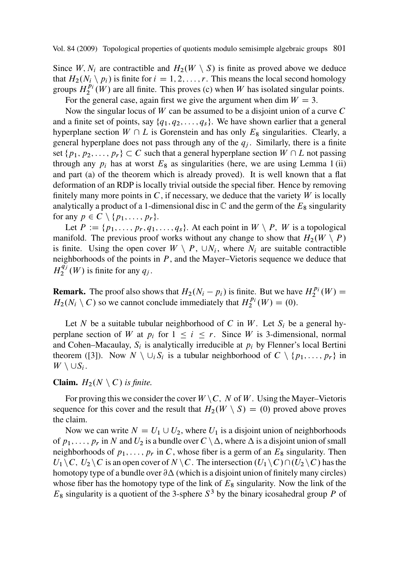Since W,  $N_i$  are contractible and  $H_2(W \setminus S)$  is finite as proved above we deduce that  $H_2(N_i \setminus p_i)$  is finite for  $i = 1, 2, ..., r$ . This means the local second homology groups  $H_2^{p_i}(W)$  are all finite. This proves (c) when W has isolated singular points.

For the general case, again first we give the argument when dim  $W = 3$ .

Now the singular locus of  $W$  can be assumed to be a disjoint union of a curve  $C$ and a finite set of points, say  $\{q_1, q_2, \ldots, q_s\}$ . We have shown earlier that a general hyperplane section  $W \cap L$  is Gorenstein and has only  $E_8$  singularities. Clearly, a general hyperplane does not pass through any of the  $q_i$ . Similarly, there is a finite set  $\{p_1, p_2, \ldots, p_r\} \subset C$  such that a general hyperplane section  $W \cap L$  not passing through any  $p_i$  has at worst  $E_8$  as singularities (here, we are using Lemma 1 (ii) and part (a) of the theorem which is already proved). It is well known that a flat deformation of an RDP is locally trivial outside the special fiber. Hence by removing finitely many more points in  $C$ , if necessary, we deduce that the variety  $W$  is locally analytically a product of a 1-dimensional disc in  $\mathbb C$  and the germ of the  $E_8$  singularity for any  $p \in C \setminus \{p_1,\ldots,p_r\}.$ 

Let  $P := \{p_1, \ldots, p_r, q_1, \ldots, q_s\}$ . At each point in  $W \setminus P$ , W is a topological manifold. The previous proof works without any change to show that  $H_2(W \setminus P)$ is finite. Using the open cover  $W \setminus P$ ,  $\cup N_i$ , where  $N_i$  are suitable contractible neighborh[oo](#page-13-0)ds of the points in  $P$ , and the Mayer–Vietoris sequence we deduce that  $H_2^{\widetilde{q_j}}(W)$  is finite for any  $q_j$ .

**Remark.** The proof also shows that  $H_2(N_i - p_i)$  is finite. But we have  $H_2^{p_i}(W) = H_2(N \setminus C)$  so we cannot conclude immediately that  $H^{p_i}(W) = (0)$  $H_2(N_i \setminus C)$  so we cannot conclude immediately that  $H_2^{p_i}(W) = (0)$ .

Let N be a suitable tubular neighborhood of C in W. Let  $S_i$  be a general hyperplane section of W at  $p_i$  for  $1 \le i \le r$ . Since W is 3-dimensional, normal and Cohen–Macaulay,  $S_i$  is analytically irreducible at  $p_i$  by Flenner's local Bertini theorem ([3]). Now  $N \setminus \bigcup_i S_i$  is a tubular neighborhood of  $C \setminus \{p_1,\ldots,p_r\}$  in  $W \setminus \cup S_i$ .

# **Claim.**  $H_2(N \setminus C)$  *is finite.*

For proving this we consider the cover  $W \setminus C$ , N of W. Using the Mayer–Vietoris sequence for this cover and the result that  $H_2(W \setminus S) = (0)$  proved above proves the claim.

Now we can write  $N = U_1 \cup U_2$ , where  $U_1$  is a disjoint union of neighborhoods of  $p_1,\ldots,p_r$  in N and  $U_2$  is a bundle over  $C \setminus \Delta$ , where  $\Delta$  is a disjoint union of small neighborhoods of  $p_1, \ldots, p_r$  in C, whose fiber is a germ of an  $E_8$  singularity. Then  $U_1 \backslash C$ ,  $U_2 \backslash C$  is an open cover of  $N \backslash C$ . The intersection  $(U_1 \backslash C) \cap (U_2 \backslash C)$  has the homotopy type of a bundle over  $\partial \Delta$  (which is a disjoint union of finitely many circles) whose fiber has the homotopy type of the link of  $E_8$  singularity. Now the link of the  $E_8$  singularity is a quotient of the 3-sphere  $S^3$  by the binary icosahedral group P of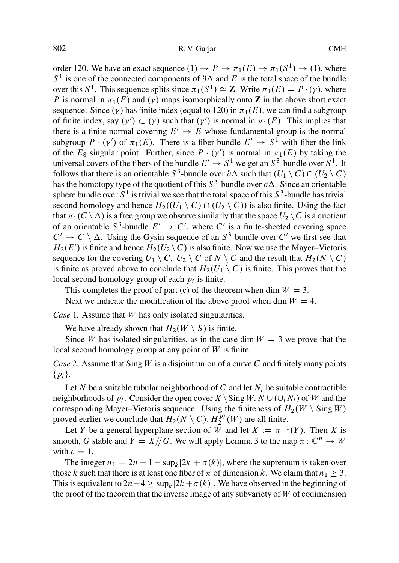order 120. We have an exact sequence  $(1) \rightarrow P \rightarrow \pi_1(E) \rightarrow \pi_1(S^1) \rightarrow (1)$ , where  $S<sup>1</sup>$  is one of the connected components of  $\partial \Delta$  and E is the total space of the bundle over this  $S^1$ . This sequence splits since  $\pi_1(S^1) \cong \mathbb{Z}$ . Write  $\pi_1(E) = P \cdot (\gamma)$ , where P is normal in  $\pi_1(E)$  and  $(\gamma)$  maps isomorphically onto **Z** in the above short exact sequence. Since  $(y)$  has finite index (equal to 120) in  $\pi_1(E)$ , we can find a subgroup of finite index, say  $(\gamma') \subset (\gamma)$  such that  $(\gamma')$  is normal in  $\pi_1(E)$ . This implies that there is a finite normal covering  $F' \to F$  whose fundamental group is the normal there is a finite normal covering  $E' \to E$  whose fundamental group is the normal<br>subgroup  $P \cdot (v')$  of  $\pi_1(F)$ . There is a fiber bundle  $F' \to S^1$  with fiber the link subgroup  $P \cdot (\gamma')$  of  $\pi_1(E)$ . There is a fiber bundle  $E' \to S^1$  with fiber the link<br>of the  $F_0$  singular point. Further, since  $P \cdot (\gamma')$  is normal in  $\pi_1(F)$  by taking the of the  $E_8$  singular point. Further, since  $P \cdot (\gamma')$  is normal in  $\pi_1(E)$  by taking the universal covers of the fibers of the bundle  $F' \rightarrow S^1$  we get an  $S^3$ -bundle over  $S^1$ . It universal covers of the fibers of the bundle  $E' \rightarrow S^1$  we get an  $S^3$ -bundle over  $S^1$ . It follows that there is an orientable  $S^3$ -bundle over  $\partial \Delta$  such that  $(U_1 \setminus C) \cap (U_2 \setminus C)$ has the homotopy type of the quotient of this  $S^3$ -bundle over  $\partial \Delta$ . Since an orientable sphere bundle over  $S^1$  is trivial we see that the total space of this  $S^3$ -bundle has trivial second homology and hence  $H_2((U_1 \setminus C) \cap (U_2 \setminus C))$  is also finite. Using the fact that  $\pi_1(C \setminus \Delta)$  is a free group we observe similarly that the space  $U_2 \setminus C$  is a quotient of an orientable  $S^3$ -bundle  $E' \to C'$ , where C' is a finite-sheeted covering space<br> $C' \to C \setminus \Lambda$ . Using the Gysin sequence of an  $S^3$ -bundle over C' we first see that  $C' \rightarrow C \setminus \Delta$ . Using the Gysin sequence of an  $S^3$ -bundle over C' we first see that  $H_2(E')$  is finite and hence  $H_2(U_2 \setminus C)$  is also finite. Now we use the Mayer–Vietoris<br>sequence for the covering  $U_1 \setminus C$ ,  $U_2 \setminus C$  of  $N \setminus C$  and the result that  $H_2(N \setminus C)$ sequence for the covering  $U_1 \setminus C$ ,  $U_2 \setminus C$  of  $N \setminus C$  and the result that  $H_2(N \setminus C)$ is finite as proved above to conclude that  $H_2(U_1 \setminus C)$  is finite. This proves that the local second homology group of each  $p_i$  is finite.

This completes the proof of part (c) of the theorem when dim  $W = 3$ . Next we indicate the modification of the above proof when dim  $W = 4$ .

*Case* 1*.* Assume that W has only isolated singularities.

We have already shown that  $H_2(W \setminus S)$  is finite.

Since W has isolated singularities, as in the case dim  $W = 3$  we prove that the local second homology group at any point of  $W$  is finite.

*Case* 2*.* Assume that Sing W is a disjoint union of a curve C and finitely many points  $\{p_i\}.$ 

Let N be a suitable tubular neighborhood of C and let  $N_i$  be suitable contractible neighborhoods of  $p_i$ . Consider the open cover  $X \setminus$  Sing  $W$ ,  $N \cup (\bigcup_i N_i)$  of W and the corresponding Mayer–Vietoris sequence. Using the finiteness of  $H_2(W \setminus \text{Sing }W)$ proved earlier we conclude that  $H_2(N \setminus C)$ ,  $H_2^{p_i}(W)$  are all finite.<br>Let Y be a general hyperplane section of W and let  $Y := \pi^{-1}$ 

Let Y be a general hyperplane section of W and let  $X := \pi^{-1}(Y)$ . Then X is<br>both G stable and  $Y = X/\sqrt{G}$ . We will apply Lemma 3 to the map  $\pi : \mathbb{C}^n \to W$ smooth, G stable and  $Y=X//G$ . We will apply Lemma 3 to the map  $\pi: \mathbb{C}^n \to W$ with  $c = 1$ .

The integer  $n_1 = 2n - 1 - \sup_k [2k + \sigma(k)]$ , where the supremum is taken over<br>se k such that there is at least one fiber of  $\pi$  of dimension k. We claim that  $n_i \geq 3$ . those k such that there is at least one fiber of  $\pi$  of dimension k. We claim that  $n_1 \geq 3$ . This is equivalent to  $2n-4 \ge \sup_k [2k+\sigma(k)]$ . We have observed in the beginning of the proof of the theorem that the inverse image of any subvariety of W of codimension the proof of the theorem that the inverse image of any subvariety of  $W$  of codimension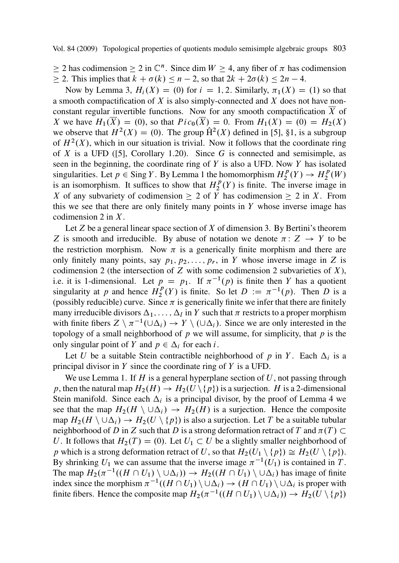$\geq 2$  has codimens[ion](#page-13-0)  $\geq 2$  in  $\mathbb{C}^n$ . Since dim  $W \geq 4$ , any fiber of  $\pi$  has codimension  $\geq$  2. This implies that  $k + \sigma(k) \leq n - 2$ , so that  $2k + 2\sigma(k) \leq 2n - 4$ .<br>Now by Lamma 2,  $H(X) = (0)$  for  $i = 1, 2$ . Similarly,  $\sigma(X) =$ 

Now by Lemma 3,  $H_i(X) = (0)$  for  $i = 1, 2$ . Similarly,  $\pi_1(X) = (1)$  so that a smooth compactification of  $X$  is also simply-connected and  $X$  does not have nonconstant regular invertible functions. Now for any smooth compactification  $\overline{X}$  of X we have  $H_1(\overline{X}) = (0)$ , so that  $Pic_0(\overline{X}) = 0$ . From  $H_1(X) = (0) = H_2(X)$ we observe that  $H^2(X) = (0)$ . The group  $\hat{H}^2(X)$  defined in [5], §1, is a subgroup of  $H<sup>2</sup>(X)$ , which in our situation is trivial. Now it follows that the coordinate ring of X is a UFD ([5], Corollary 1.20). Since G is connected and semisimple, as seen in the beginning, the coordinate ring of  $Y$  is also a UFD. Now  $Y$  has isolated singularities. Let  $p \in Sing Y$ . By Lemma 1 the homomorphism  $H_2^p(Y) \to H_2^p(W)$ <br>is an isomorphism. It suffices to show that  $H^p(Y)$  is finite. The inverse image in is an isomorphism. It suffices to show that  $H_2^p(Y)$  is finite. The inverse image in X of any subvariety of codimension  $\geq 2$  of Y has codimension  $\geq 2$  in X. From this we see that there are only finitely many points in  $Y$  whose inverse image has codimension 2 in  $X$ .

Let Z be a general linear space section of X of dimension 3. By Bertini's theorem Z is smooth and irreducible. By abuse of notation we denote  $\pi: Z \to Y$  to be the restriction morphism. Now  $\pi$  is a generically finite morphism and there are only finitely many points, say  $p_1, p_2, \ldots, p_r$ , in Y whose inverse image in Z is codimension 2 (the intersection of  $Z$  with some codimension 2 subvarieties of  $X$ ), i.e. it is 1-dimensional. Let  $p = p_1$ . If  $\pi^{-1}(p)$  is finite then Y has a quotient singularity at n and hence  $H^p(Y)$  is finite. So let  $D := \pi^{-1}(p)$ . Then D is a singularity at p and hence  $H_2^p(Y)$  is finite. So let  $D := \pi^{-1}(p)$ . Then D is a (possibly reducible) curve. Since  $\pi$  is generically finite we infer that there are finitely (possibly reducible) curve. Since  $\pi$  is generically finite we infer that there are finitely many irreducible divisors  $\Delta_1$ , ...,  $\Delta_l$  in Y such that  $\pi$  restricts to a proper morphism with finite fibers  $Z \setminus \pi^{-1}(\cup \Delta_i) \to Y \setminus (\cup \Delta_i)$ . Since we are only interested in the topology of a small neighborhood of n we will assume for simplicity, that n is the topology of a small neighborhood of  $p$  we will assume, for simplicity, that  $p$  is the only singular point of Y and  $p \in \Delta_i$  for each i.

Let U be a suitable Stein contractible neighborhood of p in Y. Each  $\Delta_i$  is a principal divisor in  $Y$  since the coordinate ring of  $Y$  is a UFD.

We use Lemma 1. If  $H$  is a general hyperplane section of  $U$ , not passing through p, then the natural map  $H_2(H) \to H_2(U \setminus \{p\})$  is a surjection. H is a 2-dimensional Stein manifold. Since each  $\Delta_i$  is a principal divisor, by the proof of Lemma 4 we see that the map  $H_2(H \setminus \cup \Delta_i) \rightarrow H_2(H)$  is a surjection. Hence the composite map  $H_2(H \setminus \cup \Delta_i) \to H_2(U \setminus \{p\})$  is also a surjection. Let T be a suitable tubular neighborhood of D in Z such that D is a strong deformation retract of T and  $\pi(T) \subset$ U. It follows that  $H_2(T) = (0)$ . Let  $U_1 \subset U$  be a slightly smaller neighborhood of p which is a strong deformation retract of U, so that  $H_2(U_1 \setminus \{p\}) \cong H_2(U \setminus \{p\}).$ By shrinking  $U_1$  we can assume that the inverse image  $\pi^{-1}(U_1)$  is contained in T. The map  $H_2(\pi^{-1}((H \cap U_1) \setminus \cup \Delta_i)) \to H_2((H \cap U_1) \setminus \cup \Delta_i)$  has image of finite index since the morphism  $\pi^{-1}((H \cap U_1) \setminus \cup \Delta_i) \to (H \cap U_1) \setminus \cup \Delta_i$  is proper with index since the morphism  $\pi^{-1}((H \cap U_1) \setminus \cup \Delta_i) \to (H \cap U_1) \setminus \cup \Delta_i$  is proper with finite fibers. Hence the composite map  $H_2(\pi^{-1}((H \cap U_1) \setminus \cup \Delta_i)) \to H_2(U \setminus \{n\})$ finite fibers. Hence the composite map  $H_2(\pi^{-1}((H \cap U_1) \setminus \cup \Delta_i)) \to H_2(U \setminus \{p\})$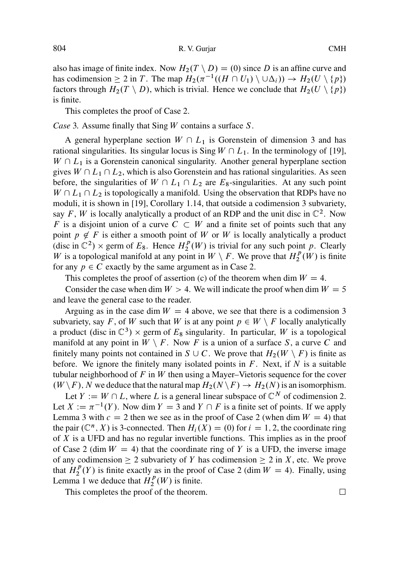also has image of finite index. Now  $H_2(T \setminus D) = (0)$  since D is an affine curve and has codimension  $\geq 2$  in T. The map  $H_2(\pi^{-1}((H \cap U_1) \setminus \cup \Delta_i)) \to H_2(U \setminus \{p\})$ <br>factors through  $H_2(T \setminus D)$  which is trivial. Hence we conclude that  $H_2(U \setminus \{p\})$ factors through  $H_2(T \setminus D)$ , which is trivial. Hence we conclude that  $H_2(U \setminus \{p\})$ is finite.

This completes the [pro](#page-13-0)of of Case 2.

*Case* 3*.* Assume finally that Sing W contains a surface S.

A general hyperplane section  $W \cap L_1$  is Gorenstein of dimension 3 and has rational singularities. Its singular locus is Sing  $W \cap L_1$ . In the terminology of [19],  $W \cap L_1$  is a Gorenstein canonical singularity. Another general hyperplane section gives  $W \cap L_1 \cap L_2$ , which is also Gorenstein and has rational singularities. As seen before, the singularities of  $W \cap L_1 \cap L_2$  are  $E_8$ -singularities. At any such point  $W \cap L_1 \cap L_2$  is topologically a manifold. Using the observation that RDPs have no moduli, it is shown in [19], Corollary 1.14, that outside a codimension 3 subvariety, say F, W is locally analytically a product of an RDP and the unit disc in  $\mathbb{C}^2$ . Now F is a disjoint union of a curve  $C \subset W$  and a finite set of points such that any point  $p \notin F$  is either a smooth point of W or W is locally analytically a product (disc in  $\mathbb{C}^2$ )  $\times$  germ of  $E_8$ . Hence  $H_2^p(W)$  is trivial for any such point p. Clearly  $W$  is a topological manifold at any point in  $W \setminus F$ . We prove that  $H^p(W)$  is finite W is a topological manifold at any point in  $W \setminus F$ . We prove that  $H_2^p(W)$  is finite<br>for any  $p \in C$  exactly by the same argument as in Case 2. for any  $p \in C$  exactly by the same argument as in Case 2.

This completes the proof of assertion (c) of the theorem when dim  $W = 4$ .

Consider the case when dim  $W > 4$ . We will indicate the proof when dim  $W = 5$ and leave the general case to the reader.

Arguing as in the case dim  $W = 4$  above, we see that there is a codimension 3 subvariety, say F, of W such that W is at any point  $p \in W \setminus F$  locally analytically a product (disc in  $\mathbb{C}^3$ )  $\times$  germ of  $E_8$  singularity. In particular, W is a topological manifold at any point in  $W \setminus F$ . Now F is a union of a surface S, a curve C and finitely many points not contained in  $S \cup C$ . We prove that  $H_2(W \setminus F)$  is finite as before. We ignore the finitely many isolated points in  $F$ . Next, if  $N$  is a suitable tubular neighborhood of F in W then using a Mayer–Vietoris sequence for the cover  $(W \backslash F)$ , N we deduce that the natural map  $H_2(N \backslash F) \to H_2(N)$  is an isomorphism.

Let  $Y := W \cap L$ , where L is a general linear subspace of  $\mathbb{C}^N$  of codimension 2. Let  $X := \pi^{-1}(Y)$ . Now dim  $Y = 3$  and  $Y \cap F$  is a finite set of points. If we apply I emma 3 with  $c = 2$  then we see as in the proof of Case 2 (when dim  $W = 4$ ) that Lemma 3 with  $c = 2$  then we see as in the proof of Case 2 (when dim  $W = 4$ ) that the pair  $(\mathbb{C}^n, X)$  is 3-connected. Then  $H_i(X) = (0)$  for  $i = 1, 2$ , the coordinate ring of X is a UFD and has no regular invertible functions. This implies as in the proof of Case 2 (dim  $W = 4$ ) that the coordinate ring of Y is a UFD, the inverse image of any codimension  $\geq 2$  subvariety of Y has codimension  $\geq 2$  in X, etc. We prove that  $H_2^p(Y)$  is finite exactly as in the proof of Case 2 (dim  $W = 4$ ). Finally, using Lemma 1 we deduce that  $H^p(W)$  is finite Lemma 1 we deduce that  $H_2^p(W)$  is finite.

This completes the proof of the theorem.  $\Box$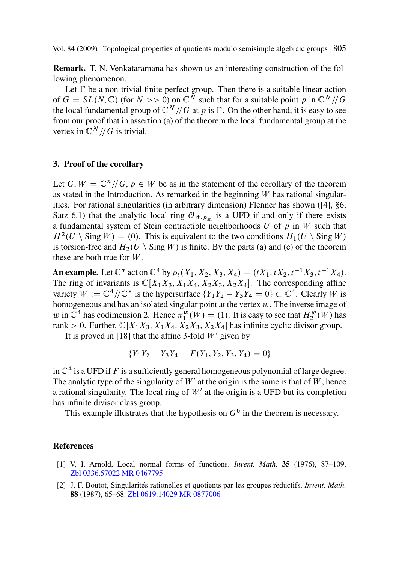<span id="page-12-0"></span>**Remark.** T. N. Venkataramana has shown us an interesting construction of the following phenomenon.

Let  $\Gamma$  be a non-trivial finite perfect group. Then there is a suitable linear action of  $G = SL(N, \mathbb{C})$  (for  $N >> 0$ ) on  $\mathbb{C}^N$  such that for a suitable point p in  $\mathbb{C}^N/\!/G$ the local fundamental group of  $\mathbb{C}^N$  // G at p is  $\Gamma$ . On the other hand, it is eas[y t](#page-13-0)o see from our proof that in assertion (a) of the theorem the local fundamental group at the vertex in  $\mathbb{C}^N$  // G is trivial.

#### **3. Proof of the corollary**

Let G,  $W=\mathbb{C}^n/\!/ G$ ,  $p\in W$  be as in the statement of the corollary of the theorem as stated in the Introduction. As remarked in the beginning  $W$  has rational singularities. For rational singularities (in arbitrary dimension) Flenner has shown ([4], §6, Satz 6.1) that the analytic local ring  $\mathcal{O}_{W,p_{an}}$  is a UFD if and only if there exists a fundamental system of Stein contractible neighborhoods  $U$  of  $p$  in  $W$  such that  $H^2(U \setminus \text{Sing } W) = (0)$ . This is equivalent to the two conditions  $H_1(U \setminus \text{Sing } W)$ is torsion-free and  $H_2(U \setminus \text{Sing } W)$  is finite. By the parts (a) and (c) of the theorem these are both true for  $W$ .

**An example.** Let  $\mathbb{C}^*$  act on  $\mathbb{C}^4$  by  $\rho_t(X_1, X_2, X_3, X_4) = (tX_1, tX_2, t^{-1}X_3, t^{-1}X_4)$ .<br>The ring of invariants is  $\mathbb{C}[X, X_2, X_3, X_4, X_5, X_6, X_7]$ . The corresponding affine The ring of invariants is  $\mathbb{C}[X_1X_3, X_1X_4, X_2X_3, X_2X_4]$ . The corresponding affine variety  $W := \mathbb{C}^4/\!/\mathbb{C}^*$  is the hypersurface  $\{Y_1Y_2 - Y_3Y_4 = 0\} \subset \mathbb{C}^4$ . Clearly W is homogeneous and has an isolated singular point at the vertex  $w$ . The inverse image of homogeneous and has an isolated singular point at the vertex w. The inverse image of w in  $\mathbb{C}^4$  has codimension 2. Hence  $\pi_1^w(W) = (1)$ . It is easy to see that  $H_2^w(W)$  has rank  $> 0$ . Eurther  $\mathbb{C}[X, X_2, Y_1, Y_2, X_3, Y_2, Y_3]$  has infinite evolic divisor group rank > 0. Further,  $\mathbb{C}[X_1X_3, X_1X_4, X_2X_3, X_2X_4]$  has infinite cyclic divisor group.

It is proved in [18] that the affine 3-fold  $W'$  given by

$$
\{Y_1Y_2 - Y_3Y_4 + F(Y_1, Y_2, Y_3, Y_4) = 0\}
$$

in  $\mathbb{C}^4$  is a UFD if F is a sufficiently general homogeneous polynomial of large degree. The [analytic type of](http://www.emis.de/MATH-item?0336.57022) [the singular](http://www.ams.org/mathscinet-getitem?mr=0467795)ity of  $W'$  at the origin is the same is that of W, hence a rational singularity. The local ring of  $W'$  at the origin is a UFD but its completion has infinite divisor cl[ass group.](http://www.emis.de/MATH-item?0619.14029)

This example illustrates that the hypothesis on  $G<sup>0</sup>$  in the theorem is necessary.

### **References**

- [1] V. I. Arnold, Local normal forms of functions. *Invent. Math.* **35** (1976), 87–109. Zbl 0336.57022 MR 0467795
- [2] J. F. Boutot, Singularités rationelles et quotients par les groupes rèductifs. *Invent. Math.* **88** (1987), 65–68. Zbl 0619.14029 MR 0877006